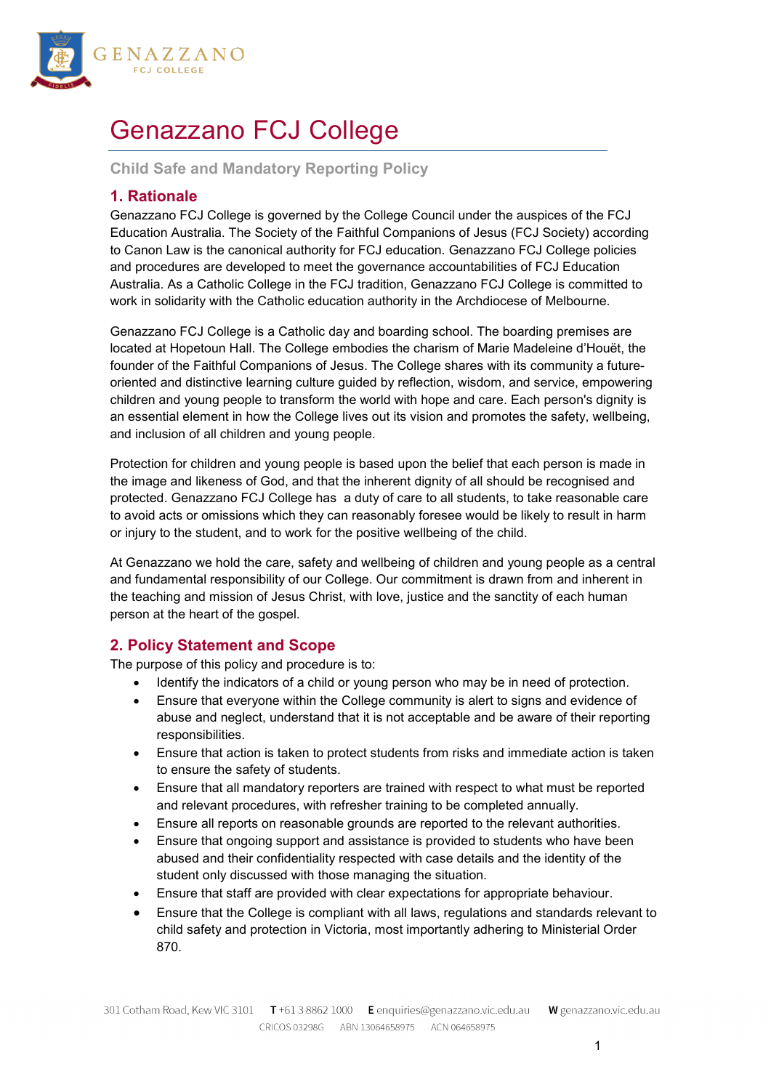

# Genazzano FCJ College

**Child Safe and Mandatory Reporting Policy**

# **1. Rationale**

Genazzano FCJ College is governed by the College Council under the auspices of the FCJ Education Australia. The Society of the Faithful Companions of Jesus (FCJ Society) according to Canon Law is the canonical authority for FCJ education. Genazzano FCJ College policies and procedures are developed to meet the governance accountabilities of FCJ Education Australia. As a Catholic College in the FCJ tradition, Genazzano FCJ College is committed to work in solidarity with the Catholic education authority in the Archdiocese of Melbourne.

Genazzano FCJ College is a Catholic day and boarding school. The boarding premises are located at Hopetoun Hall. The College embodies the charism of Marie Madeleine d'Houët, the founder of the Faithful Companions of Jesus. The College shares with its community a futureoriented and distinctive learning culture guided by reflection, wisdom, and service, empowering children and young people to transform the world with hope and care. Each person's dignity is an essential element in how the College lives out its vision and promotes the safety, wellbeing, and inclusion of all children and young people.

Protection for children and young people is based upon the belief that each person is made in the image and likeness of God, and that the inherent dignity of all should be recognised and protected. Genazzano FCJ College has a duty of care to all students, to take reasonable care to avoid acts or omissions which they can reasonably foresee would be likely to result in harm or injury to the student, and to work for the positive wellbeing of the child.

At Genazzano we hold the care, safety and wellbeing of children and young people as a central and fundamental responsibility of our College. Our commitment is drawn from and inherent in the teaching and mission of Jesus Christ, with love, justice and the sanctity of each human person at the heart of the gospel.

# **2. Policy Statement and Scope**

The purpose of this policy and procedure is to:

- Identify the indicators of a child or young person who may be in need of protection.
- Ensure that everyone within the College community is alert to signs and evidence of abuse and neglect, understand that it is not acceptable and be aware of their reporting responsibilities.
- Ensure that action is taken to protect students from risks and immediate action is taken to ensure the safety of students.
- Ensure that all mandatory reporters are trained with respect to what must be reported and relevant procedures, with refresher training to be completed annually.
- Ensure all reports on reasonable grounds are reported to the relevant authorities.
- Ensure that ongoing support and assistance is provided to students who have been abused and their confidentiality respected with case details and the identity of the student only discussed with those managing the situation.
- Ensure that staff are provided with clear expectations for appropriate behaviour.
- Ensure that the College is compliant with all laws, regulations and standards relevant to child safety and protection in Victoria, most importantly adhering to Ministerial Order 870.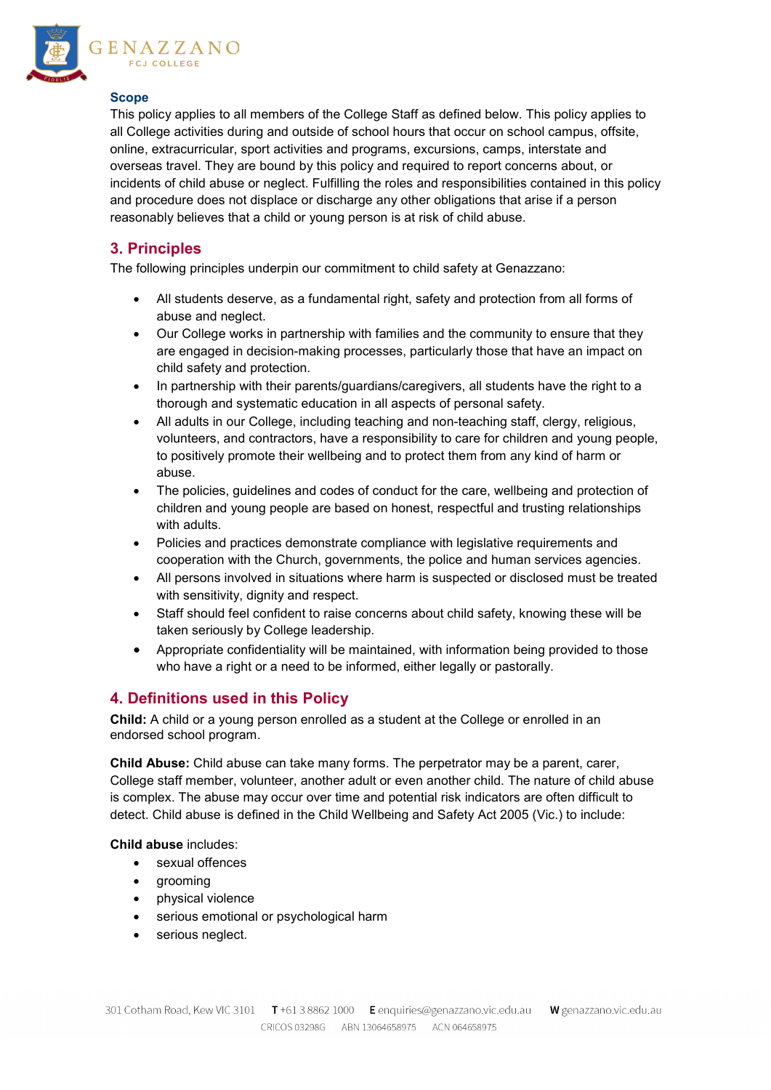

## **Scope**

This policy applies to all members of the College Staff as defined below. This policy applies to all College activities during and outside of school hours that occur on school campus, offsite, online, extracurricular, sport activities and programs, excursions, camps, interstate and overseas travel. They are bound by this policy and required to report concerns about, or incidents of child abuse or neglect. Fulfilling the roles and responsibilities contained in this policy and procedure does not displace or discharge any other obligations that arise if a person reasonably believes that a child or young person is at risk of child abuse.

# **3. Principles**

The following principles underpin our commitment to child safety at Genazzano:

- All students deserve, as a fundamental right, safety and protection from all forms of abuse and neglect.
- Our College works in partnership with families and the community to ensure that they are engaged in decision-making processes, particularly those that have an impact on child safety and protection.
- In partnership with their parents/guardians/caregivers, all students have the right to a thorough and systematic education in all aspects of personal safety.
- All adults in our College, including teaching and non-teaching staff, clergy, religious, volunteers, and contractors, have a responsibility to care for children and young people, to positively promote their wellbeing and to protect them from any kind of harm or abuse.
- The policies, guidelines and codes of conduct for the care, wellbeing and protection of children and young people are based on honest, respectful and trusting relationships with adults.
- Policies and practices demonstrate compliance with legislative requirements and cooperation with the Church, governments, the police and human services agencies.
- All persons involved in situations where harm is suspected or disclosed must be treated with sensitivity, dignity and respect.
- Staff should feel confident to raise concerns about child safety, knowing these will be taken seriously by College leadership.
- Appropriate confidentiality will be maintained, with information being provided to those who have a right or a need to be informed, either legally or pastorally.

# **4. Definitions used in this Policy**

**Child:** A child or a young person enrolled as a student at the College or enrolled in an endorsed school program.

**Child Abuse:** Child abuse can take many forms. The perpetrator may be a parent, carer, College staff member, volunteer, another adult or even another child. The nature of child abuse is complex. The abuse may occur over time and potential risk indicators are often difficult to detect. Child abuse is defined in the Child Wellbeing and Safety Act 2005 (Vic.) to include:

**Child abuse** includes:

- sexual offences
- grooming
- physical violence
- serious emotional or psychological harm
- serious neglect.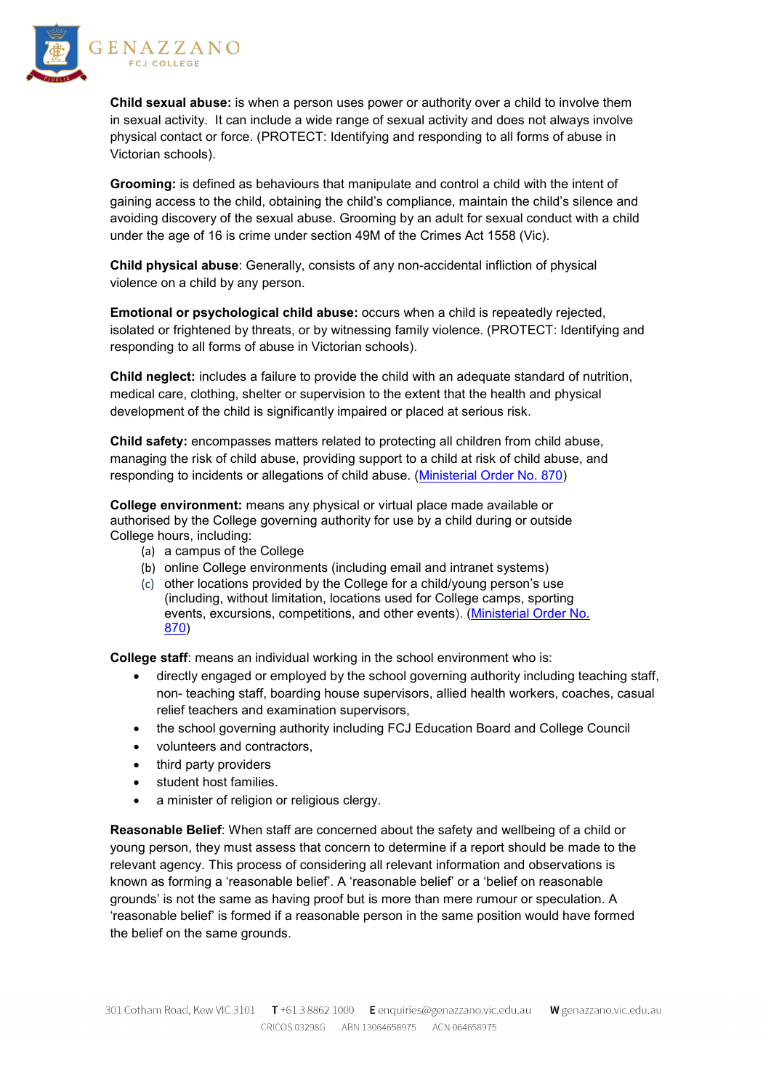

**Child sexual abuse:** is when a person uses power or authority over a child to involve them in sexual activity. It can include a wide range of sexual activity and does not always involve physical contact or force. [\(PROTECT: Identifying and responding to all forms of abuse in](http://www.cecv.catholic.edu.au/getmedia/ebe135a4-d1b3-48a0-81fe-50d4fc451bcd/Identifying-and-Responding-to-All-Forms-of-Abuse.aspx#page=12)  [Victorian schools\)](http://www.cecv.catholic.edu.au/getmedia/ebe135a4-d1b3-48a0-81fe-50d4fc451bcd/Identifying-and-Responding-to-All-Forms-of-Abuse.aspx#page=12).

**Grooming:** is defined as behaviours that manipulate and control a child with the intent of gaining access to the child, obtaining the child's compliance, maintain the child's silence and avoiding discovery of the sexual abuse. Grooming by an adult for sexual conduct with a child under the age of 16 is crime under section 49M of the Crimes Act 1558 (Vic).

**Child physical abuse**: Generally, consists of any non-accidental infliction of physical violence on a child by any person.

**Emotional or psychological child abuse:** occurs when a child is repeatedly rejected, isolated or frightened by threats, or by witnessing family violence. [\(PROTECT: Identifying and](http://www.cecv.catholic.edu.au/getmedia/ebe135a4-d1b3-48a0-81fe-50d4fc451bcd/Identifying-and-Responding-to-All-Forms-of-Abuse.aspx#page=17)  [responding to all forms of abuse in Victorian schools\)](http://www.cecv.catholic.edu.au/getmedia/ebe135a4-d1b3-48a0-81fe-50d4fc451bcd/Identifying-and-Responding-to-All-Forms-of-Abuse.aspx#page=17).

**Child neglect:** includes a failure to provide the child with an adequate standard of nutrition, medical care, clothing, shelter or supervision to the extent that the health and physical development of the child is significantly impaired or placed at serious risk.

**Child safety:** encompasses matters related to protecting all children from child abuse, managing the risk of child abuse, providing support to a child at risk of child abuse, and responding to incidents or allegations of child abuse. [\(Ministerial Order No. 870\)](http://www.gazette.vic.gov.au/gazette/Gazettes2016/GG2016S002.pdf)

**College environment:** means any physical or virtual place made available or authorised by the College governing authority for use by a child during or outside College hours, including:

- (a) a campus of the College
- (b) online College environments (including email and intranet systems)
- (c) other locations provided by the College for a child/young person's use (including, without limitation, locations used for College camps, sporting events, excursions, competitions, and other events). (Ministerial Order No. [870\)](http://www.gazette.vic.gov.au/gazette/Gazettes2016/GG2016S002.pdf)

**College staff**: means an individual working in the school environment who is:

- directly engaged or employed by the school governing authority including teaching staff, non- teaching staff, boarding house supervisors, allied health workers, coaches, casual relief teachers and examination supervisors,
- the school governing authority including FCJ Education Board and College Council
- volunteers and contractors,
- third party providers
- student host families.
- a minister of religion or religious clergy.

**Reasonable Belief**: When staff are concerned about the safety and wellbeing of a child or young person, they must assess that concern to determine if a report should be made to the relevant agency. This process of considering all relevant information and observations is known as forming a 'reasonable belief'. A 'reasonable belief' or a 'belief on reasonable grounds' is not the same as having proof but is more than mere rumour or speculation. A 'reasonable belief' is formed if a reasonable person in the same position would have formed the belief on the same grounds.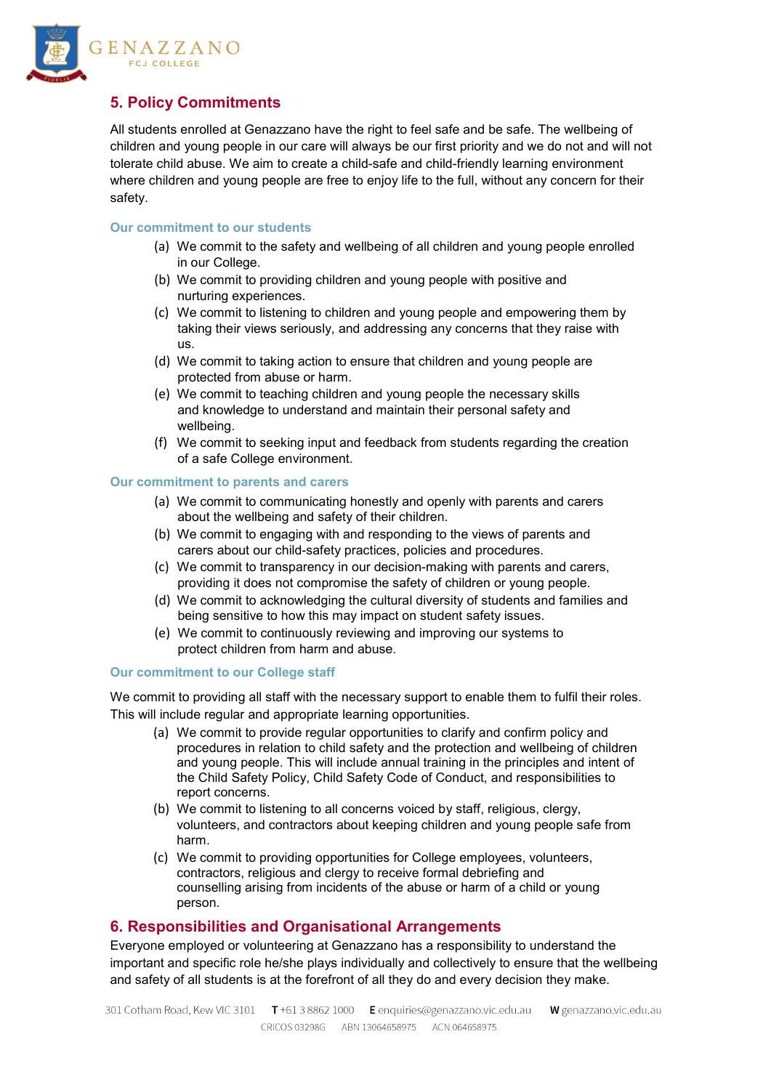

# **5. Policy Commitments**

All students enrolled at Genazzano have the right to feel safe and be safe. The wellbeing of children and young people in our care will always be our first priority and we do not and will not tolerate child abuse. We aim to create a child-safe and child-friendly learning environment where children and young people are free to enjoy life to the full, without any concern for their safety.

#### **Our commitment to our students**

- (a) We commit to the safety and wellbeing of all children and young people enrolled in our College.
- (b) We commit to providing children and young people with positive and nurturing experiences.
- (c) We commit to listening to children and young people and empowering them by taking their views seriously, and addressing any concerns that they raise with us.
- (d) We commit to taking action to ensure that children and young people are protected from abuse or harm.
- (e) We commit to teaching children and young people the necessary skills and knowledge to understand and maintain their personal safety and wellbeing.
- (f) We commit to seeking input and feedback from students regarding the creation of a safe College environment.

#### **Our commitment to parents and carers**

- (a) We commit to communicating honestly and openly with parents and carers about the wellbeing and safety of their children.
- (b) We commit to engaging with and responding to the views of parents and carers about our child-safety practices, policies and procedures.
- (c) We commit to transparency in our decision-making with parents and carers, providing it does not compromise the safety of children or young people.
- (d) We commit to acknowledging the cultural diversity of students and families and being sensitive to how this may impact on student safety issues.
- (e) We commit to continuously reviewing and improving our systems to protect children from harm and abuse.

#### **Our commitment to our College staff**

We commit to providing all staff with the necessary support to enable them to fulfil their roles. This will include regular and appropriate learning opportunities.

- (a) We commit to provide regular opportunities to clarify and confirm policy and procedures in relation to child safety and the protection and wellbeing of children and young people. This will include annual training in the principles and intent of the Child Safety Policy, Child Safety Code of Conduct, and responsibilities to report concerns.
- (b) We commit to listening to all concerns voiced by staff, religious, clergy, volunteers, and contractors about keeping children and young people safe from harm.
- (c) We commit to providing opportunities for College employees, volunteers, contractors, religious and clergy to receive formal debriefing and counselling arising from incidents of the abuse or harm of a child or young person.

## **6. Responsibilities and Organisational Arrangements**

Everyone employed or volunteering at Genazzano has a responsibility to understand the important and specific role he/she plays individually and collectively to ensure that the wellbeing and safety of all students is at the forefront of all they do and every decision they make.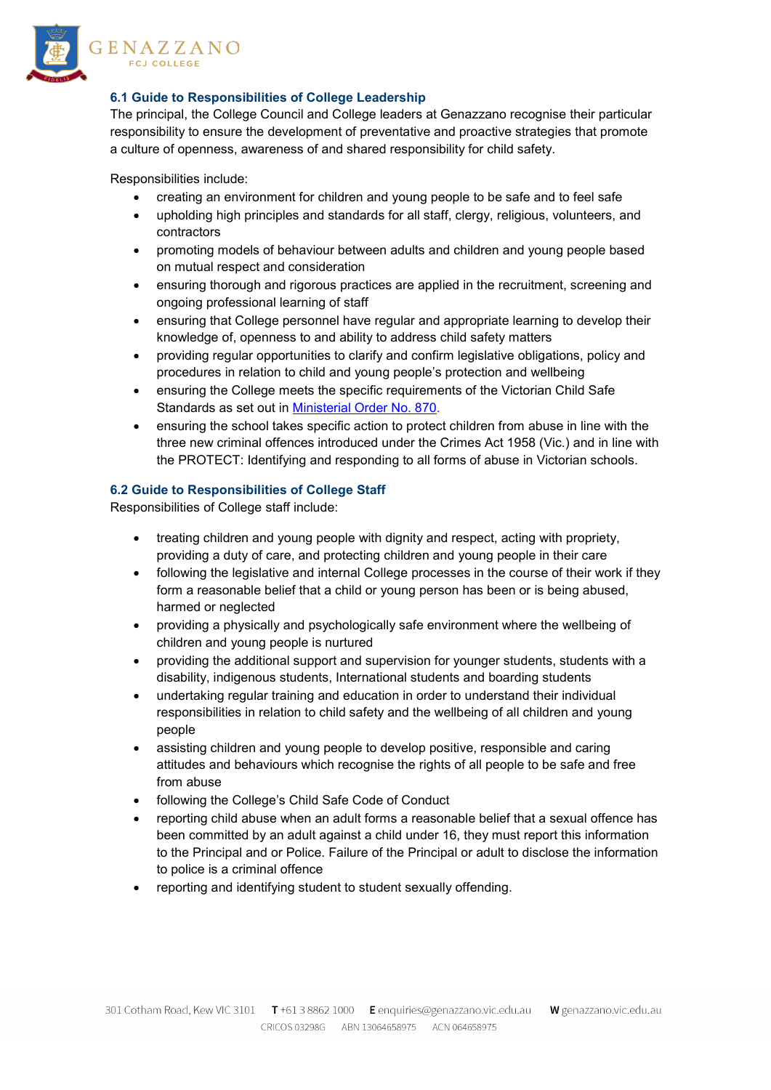

## **6.1 Guide to Responsibilities of College Leadership**

The principal, the College Council and College leaders at Genazzano recognise their particular responsibility to ensure the development of preventative and proactive strategies that promote a culture of openness, awareness of and shared responsibility for child safety.

Responsibilities include:

- creating an environment for children and young people to be safe and to feel safe
- upholding high principles and standards for all staff, clergy, religious, volunteers, and contractors
- promoting models of behaviour between adults and children and young people based on mutual respect and consideration
- ensuring thorough and rigorous practices are applied in the recruitment, screening and ongoing professional learning of staff
- ensuring that College personnel have regular and appropriate learning to develop their knowledge of, openness to and ability to address child safety matters
- providing regular opportunities to clarify and confirm legislative obligations, policy and procedures in relation to child and young people's protection and wellbeing
- ensuring the College meets the specific requirements of the Victorian Child Safe Standards as set out in [Ministerial Order No. 870.](http://www.gazette.vic.gov.au/gazette/Gazettes2016/GG2016S002.pdf)
- ensuring the school takes specific action to protect children from abuse in line with the three new criminal offences introduced under the Crimes Act 1958 (Vic.) and in line with the [PROTECT: Identifying and responding to all forms of abuse in Victorian schools.](http://www.cecv.catholic.edu.au/getmedia/ebe135a4-d1b3-48a0-81fe-50d4fc451bcd/Identifying-and-Responding-to-All-Forms-of-Abuse.aspx)

## **6.2 Guide to Responsibilities of College Staff**

Responsibilities of College staff include:

- treating children and young people with dignity and respect, acting with propriety, providing a duty of care, and protecting children and young people in their care
- following the legislative and internal College processes in the course of their work if they form a reasonable belief that a child or young person has been or is being abused, harmed or neglected
- providing a physically and psychologically safe environment where the wellbeing of children and young people is nurtured
- providing the additional support and supervision for younger students, students with a disability, indigenous students, International students and boarding students
- undertaking regular training and education in order to understand their individual responsibilities in relation to child safety and the wellbeing of all children and young people
- assisting children and young people to develop positive, responsible and caring attitudes and behaviours which recognise the rights of all people to be safe and free from abuse
- following the College's Child Safe Code of Conduct
- reporting child abuse when an adult forms a reasonable belief that a sexual offence has been committed by an adult against a child under 16, they must report this information to the Principal and or Police. Failure of the Principal or adult to disclose the information to police is a criminal offence
- reporting and identifying student to student sexually offending.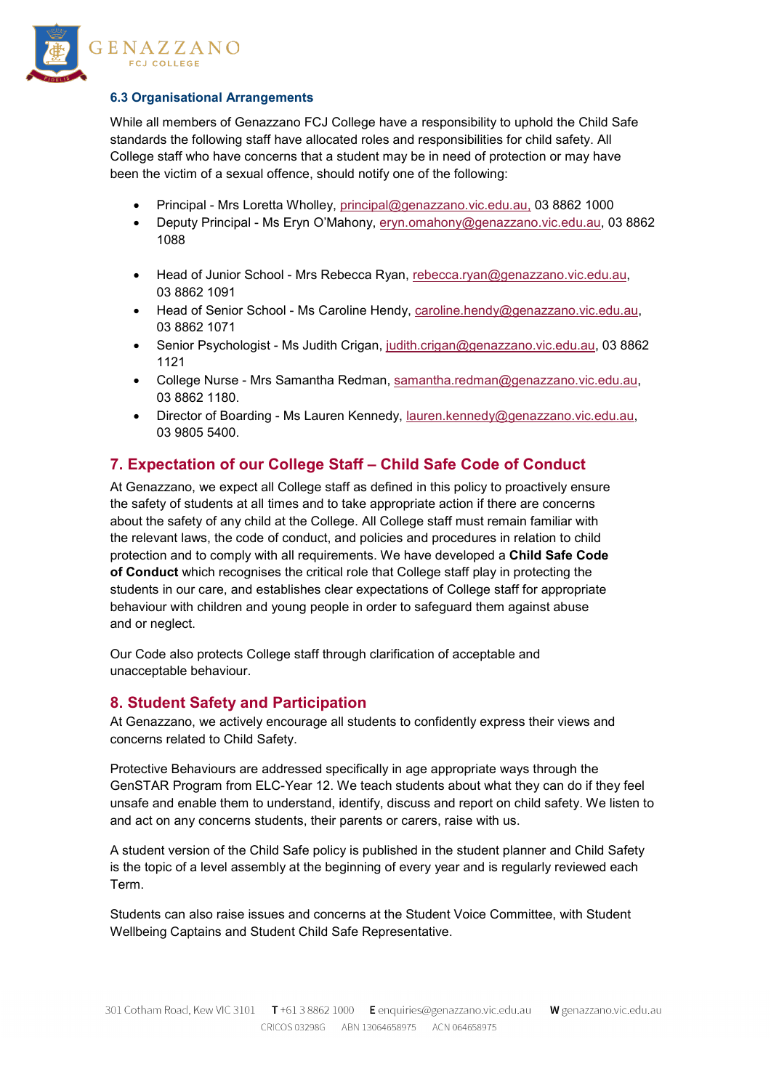

#### **6.3 Organisational Arrangements**

While all members of Genazzano FCJ College have a responsibility to uphold the Child Safe standards the following staff have allocated roles and responsibilities for child safety. All College staff who have concerns that a student may be in need of protection or may have been the victim of a sexual offence, should notify one of the following:

- Principal Mrs Loretta Wholley, principal@genazzano.vic.edu.au, 03 8862 1000
- Deputy Principal Ms Eryn O'Mahony, [eryn.omahony@genazzano.vic.edu.au,](mailto:eryn.omahony@genazzano.vic.edu.au) 03 8862 1088
- Head of Junior School Mrs Rebecca Ryan, [rebecca.ryan@genazzano.vic.edu.au,](mailto:rebecca.ryan@genazzano.vic.edu.au) 03 8862 1091
- Head of Senior School Ms Caroline Hendy, [caroline.hendy@genazzano.vic.edu.au,](mailto:caroline.hendy@genazzano.vic.edu.au) 03 8862 1071
- Senior Psychologist Ms Judith Crigan, [judith.crigan@genazzano.vic.edu.au,](mailto:judith.crigan@genazzano.vic.edu.au) 03 8862 1121
- College Nurse Mrs Samantha Redman, [samantha.redman@genazzano.vic.edu.au,](mailto:samantha.redman@genazzano.vic.edu.au) 03 8862 1180.
- Director of Boarding Ms Lauren Kennedy, [lauren.kennedy@genazzano.vic.edu.au,](mailto:lauren.kennedy@genazzano.vic.edu.au) 03 9805 5400.

# **7. Expectation of our College Staff – Child Safe Code of Conduct**

At Genazzano, we expect all College staff as defined in this policy to proactively ensure the safety of students at all times and to take appropriate action if there are concerns about the safety of any child at the College. All College staff must remain familiar with the relevant laws, the code of conduct, and policies and procedures in relation to child protection and to comply with all requirements. We have developed a **Child Safe Code of Conduct** which recognises the critical role that College staff play in protecting the students in our care, and establishes clear expectations of College staff for appropriate behaviour with children and young people in order to safeguard them against abuse and or neglect.

Our Code also protects College staff through clarification of acceptable and unacceptable behaviour.

# **8. Student Safety and Participation**

At Genazzano, we actively encourage all students to confidently express their views and concerns related to Child Safety.

Protective Behaviours are addressed specifically in age appropriate ways through the GenSTAR Program from ELC-Year 12. We teach students about what they can do if they feel unsafe and enable them to understand, identify, discuss and report on child safety. We listen to and act on any concerns students, their parents or carers, raise with us.

A student version of the Child Safe policy is published in the student planner and Child Safety is the topic of a level assembly at the beginning of every year and is regularly reviewed each Term.

Students can also raise issues and concerns at the Student Voice Committee, with Student Wellbeing Captains and Student Child Safe Representative.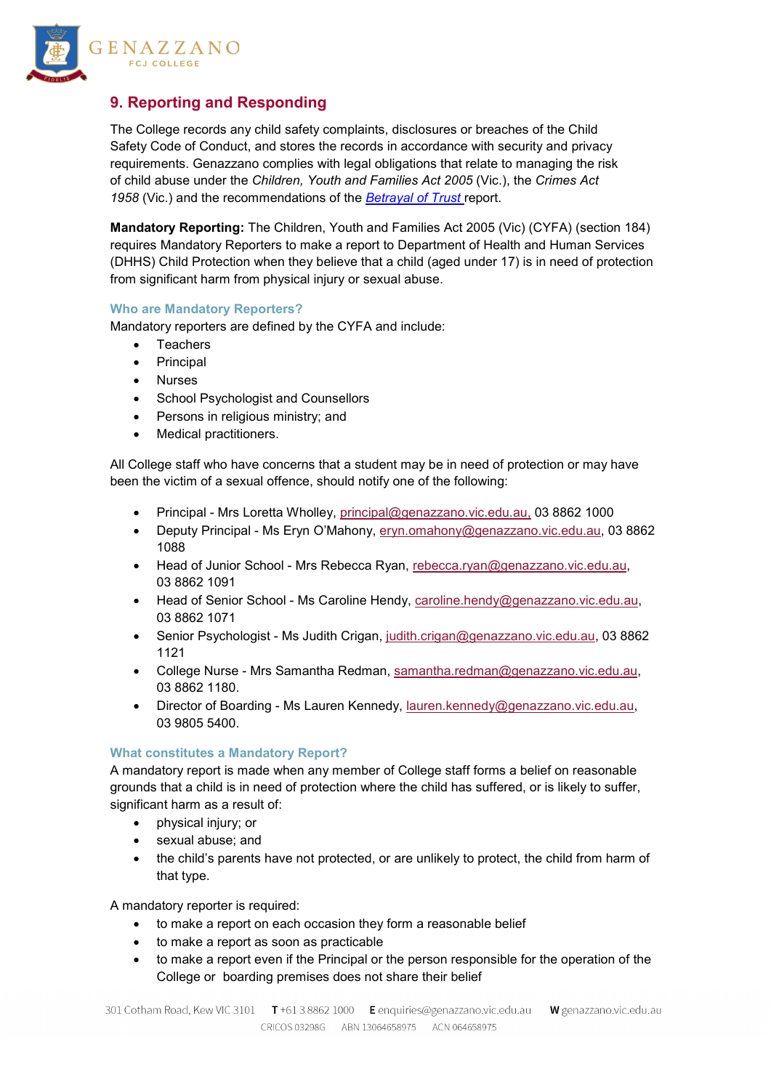

# **9. Reporting and Responding**

The College records any child safety complaints, disclosures or breaches of the Child Safety Code of Conduct, and stores the records in accordance with security and privacy requirements. Genazzano complies with legal obligations that relate to managing the risk of child abuse under the *Children, Youth and Families Act 2005* (Vic.), the *Crimes Act 1958* (Vic.) and the recommendations of the *[Betrayal of Trust](http://www.parliament.vic.gov.au/fcdc/article/1788)* report.

**Mandatory Reporting:** The Children, Youth and Families Act 2005 (Vic) (CYFA) (section 184) requires Mandatory Reporters to make a report to Department of Health and Human Services (DHHS) Child Protection when they believe that a child (aged under 17) is in need of protection from significant harm from physical injury or sexual abuse.

#### **Who are Mandatory Reporters?**

Mandatory reporters are defined by the CYFA and include:

- Teachers
- **Principal**
- Nurses
- School Psychologist and Counsellors
- Persons in religious ministry; and
- Medical practitioners.

All College staff who have concerns that a student may be in need of protection or may have been the victim of a sexual offence, should notify one of the following:

- Principal Mrs Loretta Wholley, principal@genazzano.vic.edu.au, 03 8862 1000
- Deputy Principal Ms Eryn O'Mahony, [eryn.omahony@genazzano.vic.edu.au,](mailto:eryn.omahony@genazzano.vic.edu.au) 03 8862 1088
- Head of Junior School Mrs Rebecca Ryan, [rebecca.ryan@genazzano.vic.edu.au,](mailto:rebecca.ryan@genazzano.vic.edu.au) 03 8862 1091
- Head of Senior School Ms Caroline Hendy, [caroline.hendy@genazzano.vic.edu.au,](mailto:caroline.hendy@genazzano.vic.edu.au) 03 8862 1071
- Senior Psychologist Ms Judith Crigan, [judith.crigan@genazzano.vic.edu.au,](mailto:judith.crigan@genazzano.vic.edu.au) 03 8862 1121
- College Nurse Mrs Samantha Redman, [samantha.redman@genazzano.vic.edu.au,](mailto:samantha.redman@genazzano.vic.edu.au) 03 8862 1180.
- Director of Boarding Ms Lauren Kennedy, [lauren.kennedy@genazzano.vic.edu.au,](mailto:lauren.kennedy@genazzano.vic.edu.au) 03 9805 5400.

#### **What constitutes a Mandatory Report?**

A mandatory report is made when any member of College staff forms a belief on reasonable grounds that a child is in need of protection where the child has suffered, or is likely to suffer, significant harm as a result of:

- physical injury; or
- sexual abuse; and
- the child's parents have not protected, or are unlikely to protect, the child from harm of that type.

A mandatory reporter is required:

- to make a report on each occasion they form a reasonable belief
- to make a report as soon as practicable
- to make a report even if the Principal or the person responsible for the operation of the College or boarding premises does not share their belief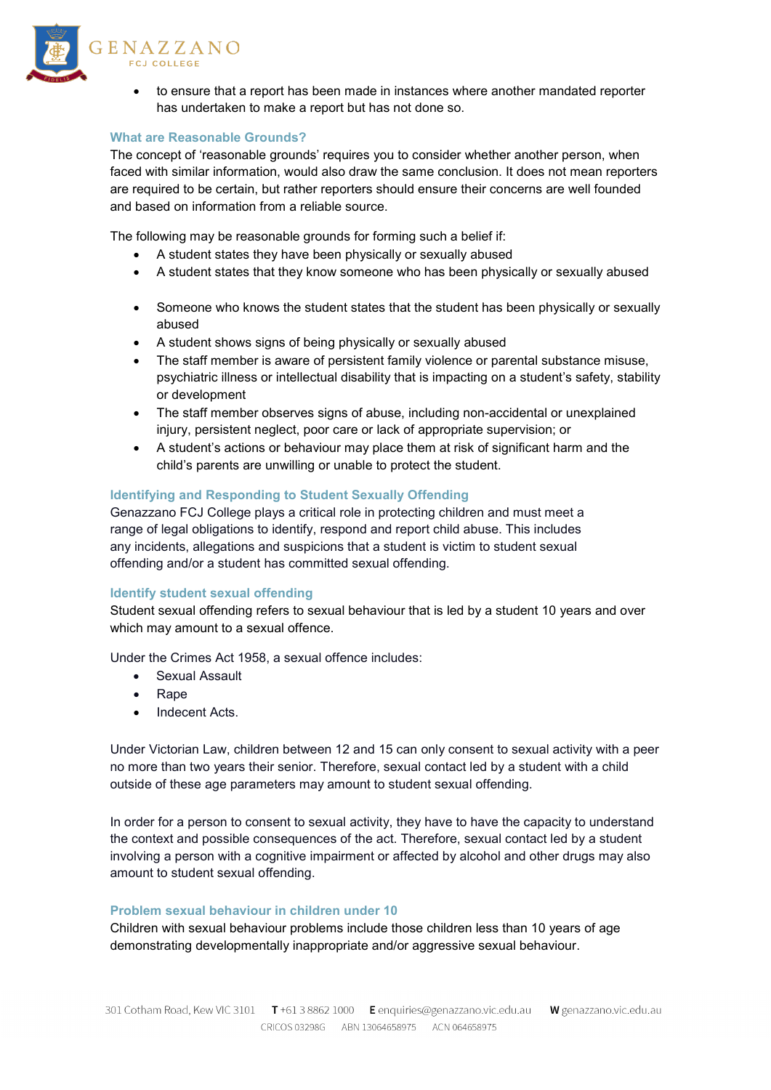

• to ensure that a report has been made in instances where another mandated reporter has undertaken to make a report but has not done so.

#### **What are Reasonable Grounds?**

The concept of 'reasonable grounds' requires you to consider whether another person, when faced with similar information, would also draw the same conclusion. It does not mean reporters are required to be certain, but rather reporters should ensure their concerns are well founded and based on information from a reliable source.

The following may be reasonable grounds for forming such a belief if:

- A student states they have been physically or sexually abused
- A student states that they know someone who has been physically or sexually abused
- Someone who knows the student states that the student has been physically or sexually abused
- A student shows signs of being physically or sexually abused
- The staff member is aware of persistent family violence or parental substance misuse, psychiatric illness or intellectual disability that is impacting on a student's safety, stability or development
- The staff member observes signs of abuse, including non-accidental or unexplained injury, persistent neglect, poor care or lack of appropriate supervision; or
- A student's actions or behaviour may place them at risk of significant harm and the child's parents are unwilling or unable to protect the student.

#### **Identifying and Responding to Student Sexually Offending**

Genazzano FCJ College plays a critical role in protecting children and must meet a range of legal obligations to identify, respond and report child abuse. This includes any incidents, allegations and suspicions that a student is victim to student sexual offending and/or a student has committed sexual offending.

#### **Identify student sexual offending**

Student sexual offending refers to sexual behaviour that is led by a student 10 years and over which may amount to a sexual offence.

Under the Crimes Act 1958, a sexual offence includes:

- Sexual Assault
- Rape
- Indecent Acts.

Under Victorian Law, children between 12 and 15 can only consent to sexual activity with a peer no more than two years their senior. Therefore, sexual contact led by a student with a child outside of these age parameters may amount to student sexual offending.

In order for a person to consent to sexual activity, they have to have the capacity to understand the context and possible consequences of the act. Therefore, sexual contact led by a student involving a person with a cognitive impairment or affected by alcohol and other drugs may also amount to student sexual offending.

#### **Problem sexual behaviour in children under 10**

Children with sexual behaviour problems include those children less than 10 years of age demonstrating developmentally inappropriate and/or aggressive sexual behaviour.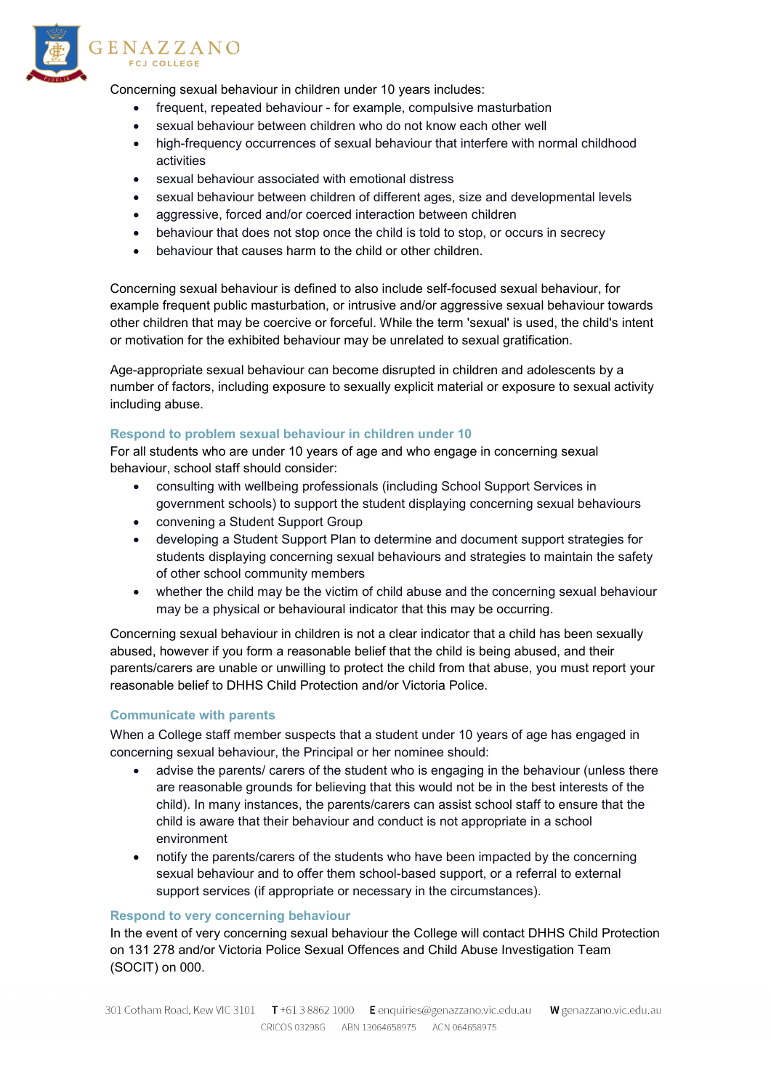

Concerning sexual behaviour in children under 10 years includes:

- frequent, repeated behaviour for example, compulsive masturbation
- sexual behaviour between children who do not know each other well
- high-frequency occurrences of sexual behaviour that interfere with normal childhood activities
- sexual behaviour associated with emotional distress
- sexual behaviour between children of different ages, size and developmental levels
- aggressive, forced and/or coerced interaction between children
- behaviour that does not stop once the child is told to stop, or occurs in secrecy
- behaviour that causes harm to the child or other children.

Concerning sexual behaviour is defined to also include self-focused sexual behaviour, for example frequent public masturbation, or intrusive and/or aggressive sexual behaviour towards other children that may be coercive or forceful. While the term 'sexual' is used, the child's intent or motivation for the exhibited behaviour may be unrelated to sexual gratification.

Age-appropriate sexual behaviour can become disrupted in children and adolescents by a number of factors, including exposure to sexually explicit material or exposure to sexual activity including abuse.

#### **Respond to problem sexual behaviour in children under 10**

For all students who are under 10 years of age and who engage in concerning sexual behaviour, school staff should consider:

- consulting with wellbeing professionals (including School Support Services in government schools) to support the student displaying concerning sexual behaviours
- convening a Student Support Group
- developing a Student Support Plan to determine and document support strategies for students displaying concerning sexual behaviours and strategies to maintain the safety of other school community members
- whether the child may be the victim of child abuse and the concerning sexual behaviour may be a physical or behavioural indicator that this may be occurring.

Concerning sexual behaviour in children is not a clear indicator that a child has been sexually abused, however if you form a reasonable belief that the child is being abused, and their parents/carers are unable or unwilling to protect the child from that abuse, you must report your reasonable belief to DHHS Child Protection and/or Victoria Police.

#### **Communicate with parents**

When a College staff member suspects that a student under 10 years of age has engaged in concerning sexual behaviour, the Principal or her nominee should:

- advise the parents/ carers of the student who is engaging in the behaviour (unless there are reasonable grounds for believing that this would not be in the best interests of the child). In many instances, the parents/carers can assist school staff to ensure that the child is aware that their behaviour and conduct is not appropriate in a school environment
- notify the parents/carers of the students who have been impacted by the concerning sexual behaviour and to offer them school-based support, or a referral to external support services (if appropriate or necessary in the circumstances).

#### **Respond to very concerning behaviour**

In the event of very concerning sexual behaviour the College will contact DHHS Child Protection on 131 278 and/or Victoria Police Sexual Offences and Child Abuse Investigation Team (SOCIT) on 000.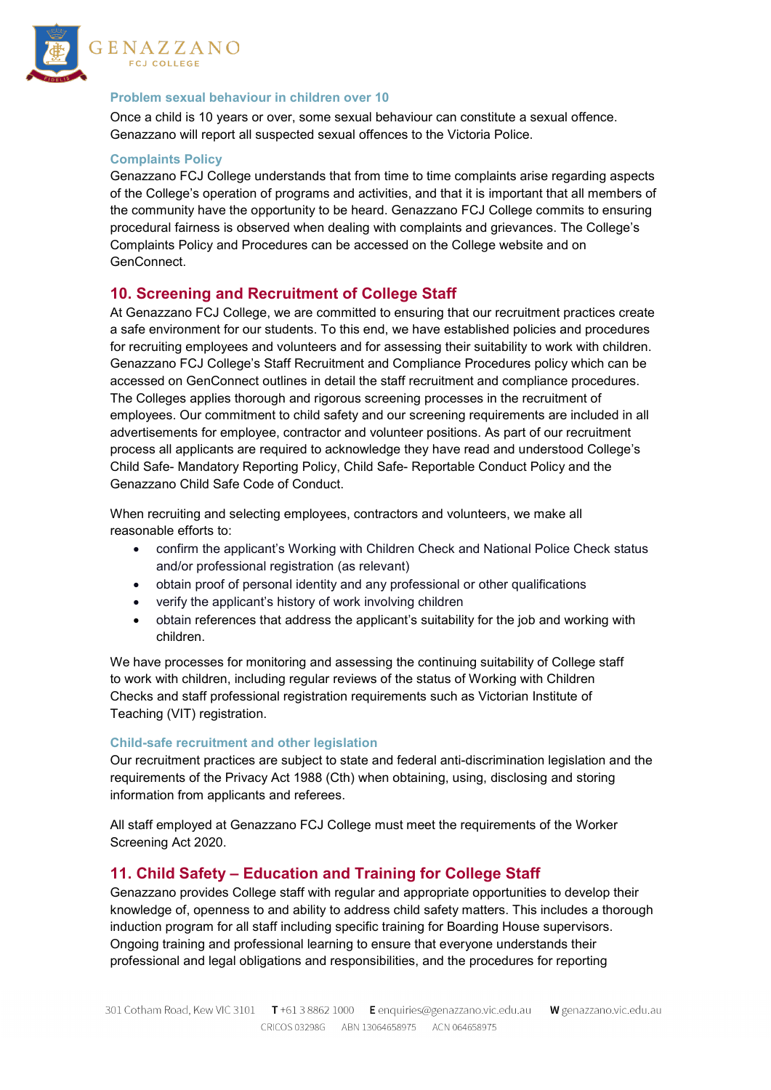

#### **Problem sexual behaviour in children over 10**

Once a child is 10 years or over, some sexual behaviour can constitute a sexual offence. Genazzano will report all suspected sexual offences to the Victoria Police.

#### **Complaints Policy**

Genazzano FCJ College understands that from time to time complaints arise regarding aspects of the College's operation of programs and activities, and that it is important that all members of the community have the opportunity to be heard. Genazzano FCJ College commits to ensuring procedural fairness is observed when dealing with complaints and grievances. The College's Complaints Policy and Procedures can be accessed on the College website and on GenConnect.

## **10. Screening and Recruitment of College Staff**

At Genazzano FCJ College, we are committed to ensuring that our recruitment practices create a safe environment for our students. To this end, we have established policies and procedures for recruiting employees and volunteers and for assessing their suitability to work with children. Genazzano FCJ College's Staff Recruitment and Compliance Procedures policy which can be accessed on GenConnect outlines in detail the staff recruitment and compliance procedures. The Colleges applies thorough and rigorous screening processes in the recruitment of employees. Our commitment to child safety and our screening requirements are included in all advertisements for employee, contractor and volunteer positions. As part of our recruitment process all applicants are required to acknowledge they have read and understood College's Child Safe- Mandatory Reporting Policy, Child Safe- Reportable Conduct Policy and the Genazzano Child Safe Code of Conduct.

When recruiting and selecting employees, contractors and volunteers, we make all reasonable efforts to:

- confirm the applicant's Working with Children Check and National Police Check status and/or professional registration (as relevant)
- obtain proof of personal identity and any professional or other qualifications
- verify the applicant's history of work involving children
- obtain references that address the applicant's suitability for the job and working with children.

We have processes for monitoring and assessing the continuing suitability of College staff to work with children, including regular reviews of the status of Working with Children Checks and staff professional registration requirements such as Victorian Institute of Teaching (VIT) registration.

#### **Child-safe recruitment and other legislation**

Our recruitment practices are subject to state and federal anti-discrimination legislation and the requirements of the Privacy Act 1988 (Cth) when obtaining, using, disclosing and storing information from applicants and referees.

All staff employed at Genazzano FCJ College must meet the requirements of the Worker Screening Act 2020.

## **11. Child Safety – Education and Training for College Staff**

Genazzano provides College staff with regular and appropriate opportunities to develop their knowledge of, openness to and ability to address child safety matters. This includes a thorough induction program for all staff including specific training for Boarding House supervisors. Ongoing training and professional learning to ensure that everyone understands their professional and legal obligations and responsibilities, and the procedures for reporting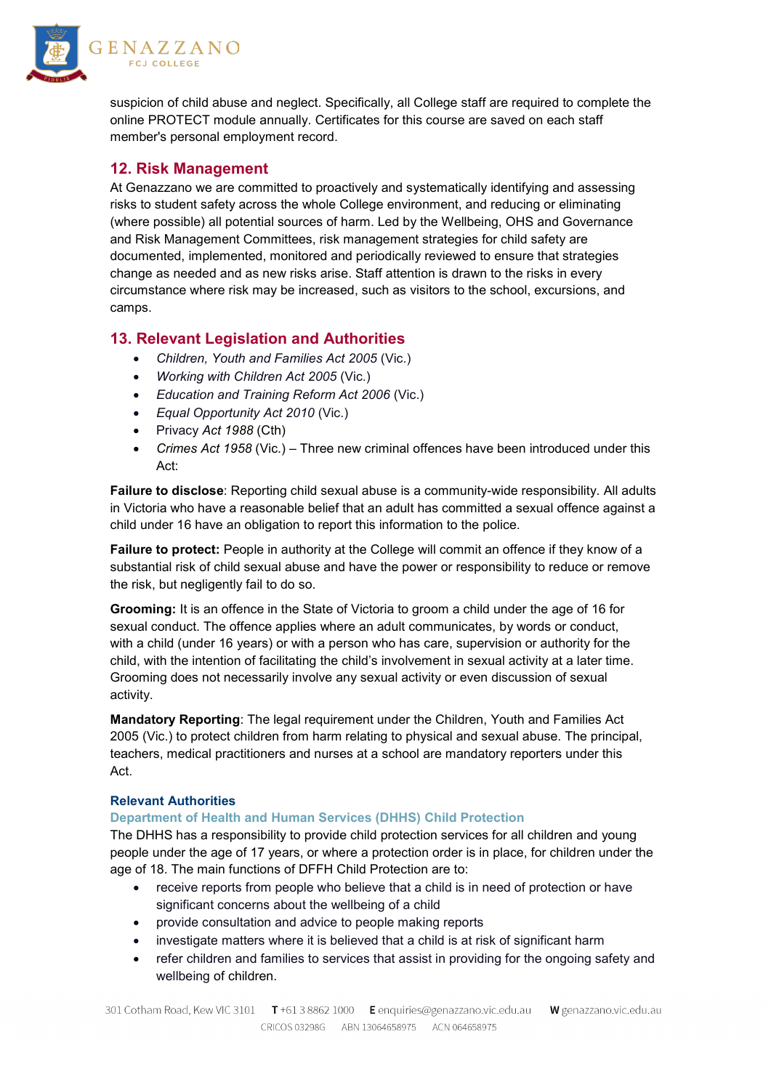

suspicion of child abuse and neglect. Specifically, all College staff are required to complete the online PROTECT module annually. Certificates for this course are saved on each staff member's personal employment record.

# **12. Risk Management**

At Genazzano we are committed to proactively and systematically identifying and assessing risks to student safety across the whole College environment, and reducing or eliminating (where possible) all potential sources of harm. Led by the Wellbeing, OHS and Governance and Risk Management Committees, risk management strategies for child safety are documented, implemented, monitored and periodically reviewed to ensure that strategies change as needed and as new risks arise. Staff attention is drawn to the risks in every circumstance where risk may be increased, such as visitors to the school, excursions, and camps.

# **13. Relevant Legislation and Authorities**

- *Children, Youth and Families Act 2005* (Vic.)
- *Working with Children Act 2005* (Vic.)
- *Education and Training Reform Act 2006* (Vic.)
- *Equal Opportunity Act 2010* (Vic.)
- Privacy *Act 1988* (Cth)
- *Crimes Act 1958* (Vic.) Three new criminal offences have been introduced under this Act:

**Failure to disclose**: Reporting child sexual abuse is a community-wide responsibility. All adults in Victoria who have a reasonable belief that an adult has committed a sexual offence against a child under 16 have an obligation to report this information to the police.

**Failure to protect:** People in authority at the College will commit an offence if they know of a substantial risk of child sexual abuse and have the power or responsibility to reduce or remove the risk, but negligently fail to do so.

**Grooming:** It is an offence in the State of Victoria to groom a child under the age of 16 for sexual conduct. The offence applies where an adult communicates, by words or conduct, with a child (under 16 years) or with a person who has care, supervision or authority for the child, with the intention of facilitating the child's involvement in sexual activity at a later time. Grooming does not necessarily involve any sexual activity or even discussion of sexual activity.

**Mandatory Reporting**: The legal requirement under the Children, Youth and Families Act 2005 (Vic.) to protect children from harm relating to physical and sexual abuse. The principal, teachers, medical practitioners and nurses at a school are mandatory reporters under this Act.

## **Relevant Authorities**

## **Department of Health and Human Services (DHHS) Child Protection**

The DHHS has a responsibility to provide child protection services for all children and young people under the age of 17 years, or where a protection order is in place, for children under the age of 18. The main functions of DFFH Child Protection are to:

- receive reports from people who believe that a child is in need of protection or have significant concerns about the wellbeing of a child
- provide consultation and advice to people making reports
- investigate matters where it is believed that a child is at risk of significant harm
- refer children and families to services that assist in providing for the ongoing safety and wellbeing of children.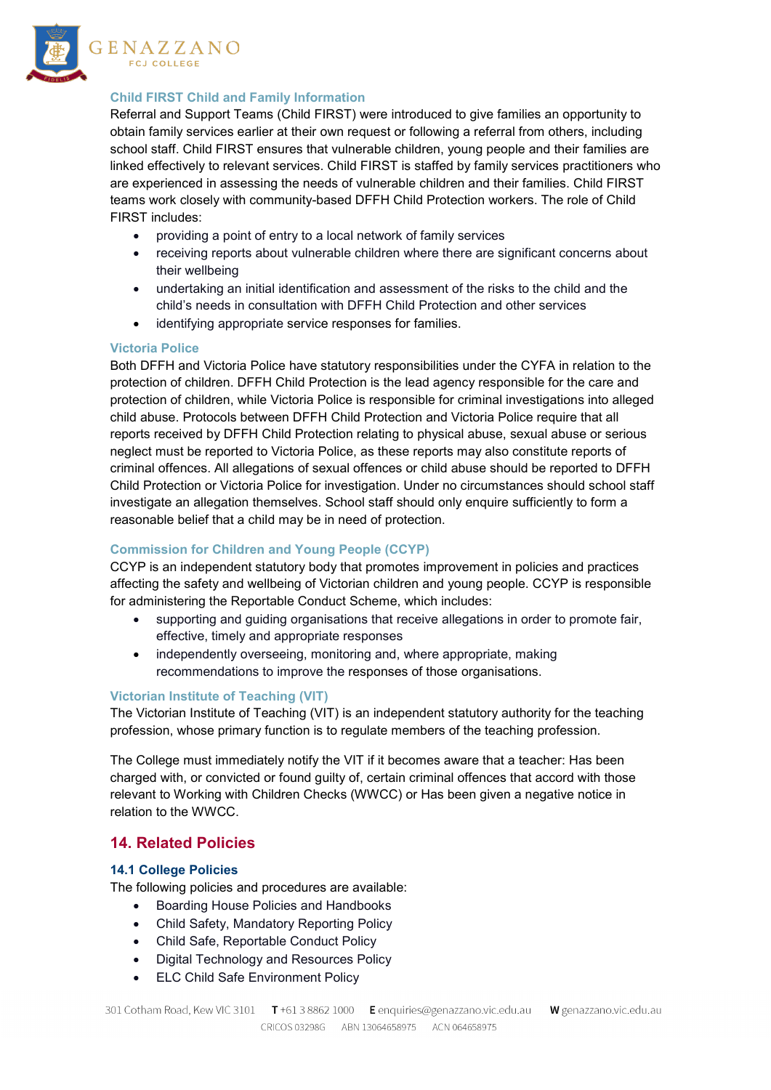

#### **Child FIRST Child and Family Information**

Referral and Support Teams (Child FIRST) were introduced to give families an opportunity to obtain family services earlier at their own request or following a referral from others, including school staff. Child FIRST ensures that vulnerable children, young people and their families are linked effectively to relevant services. Child FIRST is staffed by family services practitioners who are experienced in assessing the needs of vulnerable children and their families. Child FIRST teams work closely with community-based DFFH Child Protection workers. The role of Child FIRST includes:

- providing a point of entry to a local network of family services
- receiving reports about vulnerable children where there are significant concerns about their wellbeing
- undertaking an initial identification and assessment of the risks to the child and the child's needs in consultation with DFFH Child Protection and other services
- identifying appropriate service responses for families.

#### **Victoria Police**

Both DFFH and Victoria Police have statutory responsibilities under the CYFA in relation to the protection of children. DFFH Child Protection is the lead agency responsible for the care and protection of children, while Victoria Police is responsible for criminal investigations into alleged child abuse. Protocols between DFFH Child Protection and Victoria Police require that all reports received by DFFH Child Protection relating to physical abuse, sexual abuse or serious neglect must be reported to Victoria Police, as these reports may also constitute reports of criminal offences. All allegations of sexual offences or child abuse should be reported to DFFH Child Protection or Victoria Police for investigation. Under no circumstances should school staff investigate an allegation themselves. School staff should only enquire sufficiently to form a reasonable belief that a child may be in need of protection.

## **Commission for Children and Young People (CCYP)**

CCYP is an independent statutory body that promotes improvement in policies and practices affecting the safety and wellbeing of Victorian children and young people. CCYP is responsible for administering the Reportable Conduct Scheme, which includes:

- supporting and guiding organisations that receive allegations in order to promote fair, effective, timely and appropriate responses
- independently overseeing, monitoring and, where appropriate, making recommendations to improve the responses of those organisations.

#### **Victorian Institute of Teaching (VIT)**

The Victorian Institute of Teaching (VIT) is an independent statutory authority for the teaching profession, whose primary function is to regulate members of the teaching profession.

The College must immediately notify the VIT if it becomes aware that a teacher: Has been charged with, or convicted or found guilty of, certain criminal offences that accord with those relevant to Working with Children Checks (WWCC) or Has been given a negative notice in relation to the WWCC.

# **14. Related Policies**

#### **14.1 College Policies**

The following policies and procedures are available:

- Boarding House Policies and Handbooks
- Child Safety, Mandatory Reporting Policy
- Child Safe, Reportable Conduct Policy
- Digital Technology and Resources Policy
- ELC Child Safe Environment Policy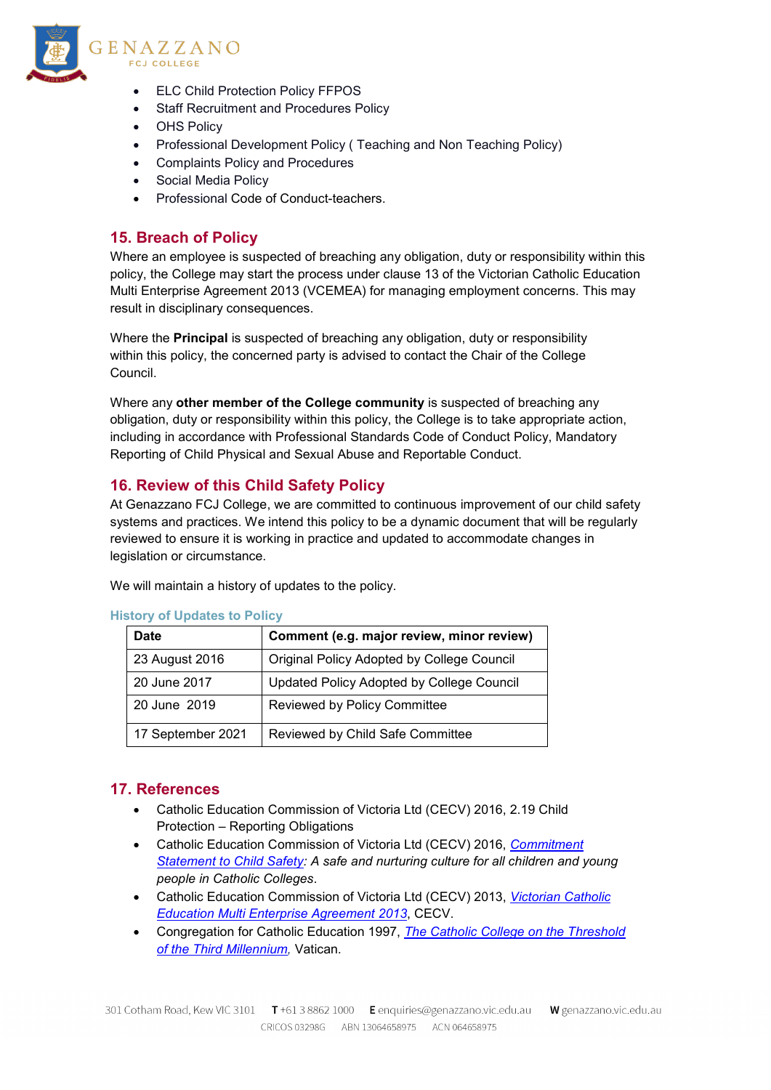

- **ELC Child Protection Policy FFPOS**
- Staff Recruitment and Procedures Policy
- OHS Policy
- Professional Development Policy ( Teaching and Non Teaching Policy)
- Complaints Policy and Procedures
- Social Media Policy
- Professional Code of Conduct-teachers.

# **15. Breach of Policy**

Where an employee is suspected of breaching any obligation, duty or responsibility within this policy, the College may start the process under clause 13 of the Victorian Catholic Education Multi Enterprise Agreement 2013 (VCEMEA) for managing employment concerns. This may result in disciplinary consequences.

Where the **Principal** is suspected of breaching any obligation, duty or responsibility within this policy, the concerned party is advised to contact the Chair of the College Council.

Where any **other member of the College community** is suspected of breaching any obligation, duty or responsibility within this policy, the College is to take appropriate action, including in accordance with Professional Standards Code of Conduct Policy, Mandatory Reporting of Child Physical and Sexual Abuse and Reportable Conduct.

# **16. Review of this Child Safety Policy**

At Genazzano FCJ College, we are committed to continuous improvement of our child safety systems and practices. We intend this policy to be a dynamic document that will be regularly reviewed to ensure it is working in practice and updated to accommodate changes in legislation or circumstance.

We will maintain a history of updates to the policy.

| <b>Date</b>       | Comment (e.g. major review, minor review)  |
|-------------------|--------------------------------------------|
| 23 August 2016    | Original Policy Adopted by College Council |
| 20 June 2017      | Updated Policy Adopted by College Council  |
| 20 June 2019      | Reviewed by Policy Committee               |
| 17 September 2021 | Reviewed by Child Safe Committee           |

#### **History of Updates to Policy**

## **17. References**

- Catholic Education Commission of Victoria Ltd (CECV) 2016, 2.19 Child Protection – Reporting Obligations
- Catholic Education Commission of Victoria Ltd (CECV) 2016, *[Commitment](http://cevn.cecv.catholic.edu.au/WorkArea/DownloadAsset.aspx?id=8589940208)  [Statement to](http://cevn.cecv.catholic.edu.au/WorkArea/DownloadAsset.aspx?id=8589940208) [Child Safety:](http://cevn.cecv.catholic.edu.au/WorkArea/DownloadAsset.aspx?id=8589940208) A safe and nurturing culture for all children and young people in Catholic Colleges*.
- Catholic Education Commission of Victoria Ltd (CECV) 2013, *[Victorian Catholic](http://www.cecv.catholic.edu.au/vcsa/Agreement_2013/VCEMEA_2013.pdf)  [Education](http://www.cecv.catholic.edu.au/vcsa/Agreement_2013/VCEMEA_2013.pdf) [Multi Enterprise Agreement 2013](http://www.cecv.catholic.edu.au/vcsa/Agreement_2013/VCEMEA_2013.pdf)*, CECV.
- Congregation for Catholic Education 1997, *[The Catholic College on the Threshold](http://www.vatican.va/roman_curia/congregations/ccatheduc/documents/rc_con_ccatheduc_doc_27041998_school2000_en.html)  [of the](http://www.vatican.va/roman_curia/congregations/ccatheduc/documents/rc_con_ccatheduc_doc_27041998_school2000_en.html) [Third Millennium,](http://www.vatican.va/roman_curia/congregations/ccatheduc/documents/rc_con_ccatheduc_doc_27041998_school2000_en.html)* Vatican.